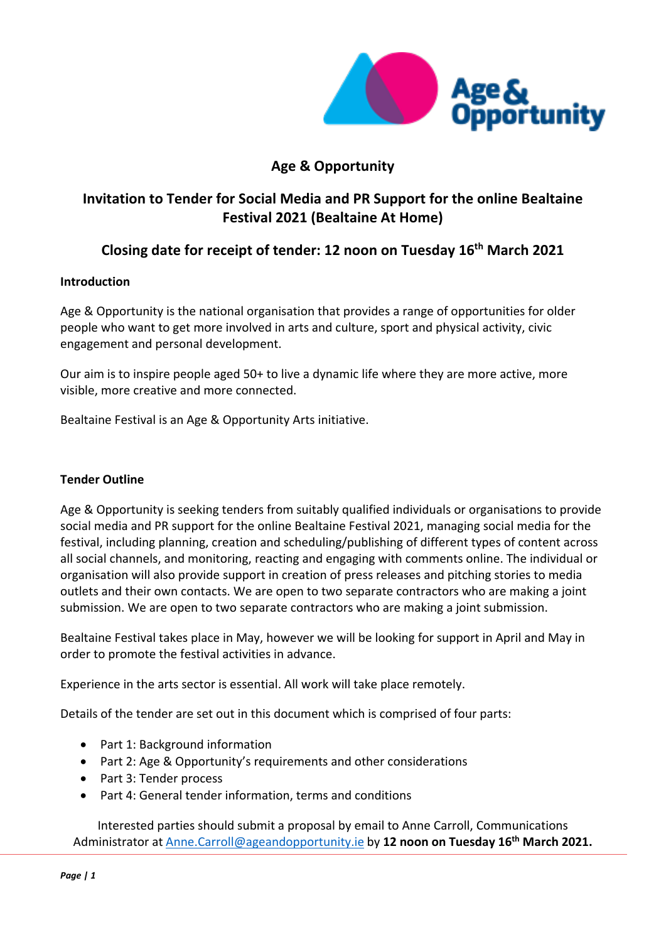

# **Age & Opportunity**

# **Invitation to Tender for Social Media and PR Support for the online Bealtaine Festival 2021 (Bealtaine At Home)**

# **Closing date for receipt of tender: 12 noon on Tuesday 16th March 2021**

# **Introduction**

Age & Opportunity is the national organisation that provides a range of opportunities for older people who want to get more involved in arts and culture, sport and physical activity, civic engagement and personal development.

Our aim is to inspire people aged 50+ to live a dynamic life where they are more active, more visible, more creative and more connected.

Bealtaine Festival is an Age & Opportunity Arts initiative.

# **Tender Outline**

Age & Opportunity is seeking tenders from suitably qualified individuals or organisations to provide social media and PR support for the online Bealtaine Festival 2021, managing social media for the festival, including planning, creation and scheduling/publishing of different types of content across all social channels, and monitoring, reacting and engaging with comments online. The individual or organisation will also provide support in creation of press releases and pitching stories to media outlets and their own contacts. We are open to two separate contractors who are making a joint submission. We are open to two separate contractors who are making a joint submission.

Bealtaine Festival takes place in May, however we will be looking for support in April and May in order to promote the festival activities in advance.

Experience in the arts sector is essential. All work will take place remotely.

Details of the tender are set out in this document which is comprised of four parts:

- Part 1: Background information
- Part 2: Age & Opportunity's requirements and other considerations
- Part 3: Tender process
- Part 4: General tender information, terms and conditions

Interested parties should submit a proposal by email to Anne Carroll, Communications Administrator at [Anne.Carroll@ageandopportunity.ie](mailto:Anne.Carroll@ageandopportunity.ie) by **12 noon on Tuesday 16th March 2021.**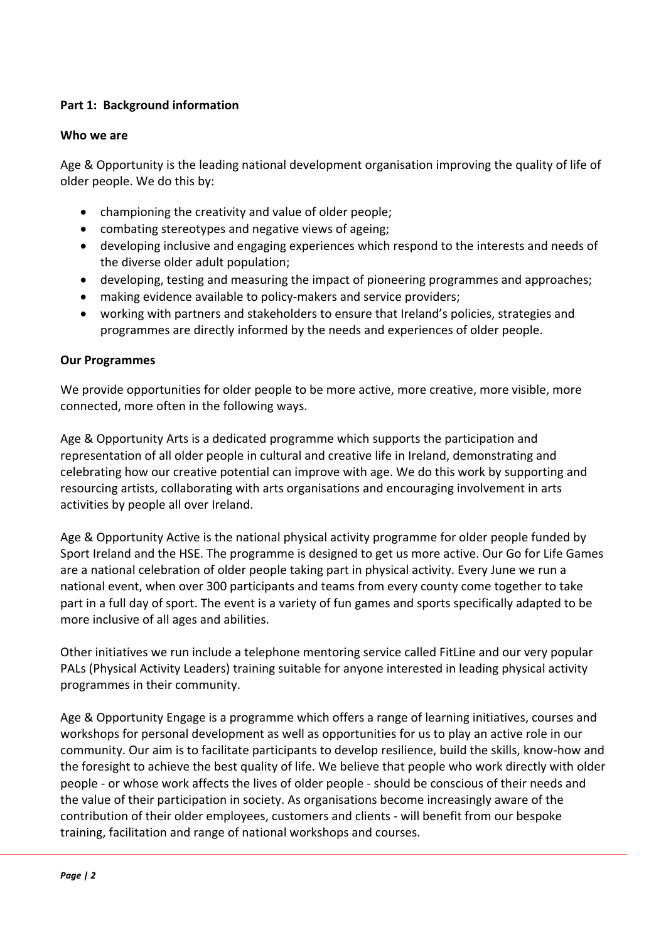# **Part 1: Background information**

## **Who we are**

Age & Opportunity is the leading national development organisation improving the quality of life of older people. We do this by:

- championing the creativity and value of older people;
- combating stereotypes and negative views of ageing;
- developing inclusive and engaging experiences which respond to the interests and needs of the diverse older adult population;
- developing, testing and measuring the impact of pioneering programmes and approaches;
- making evidence available to policy-makers and service providers;
- working with partners and stakeholders to ensure that Ireland's policies, strategies and programmes are directly informed by the needs and experiences of older people.

# **Our Programmes**

We provide opportunities for older people to be more active, more creative, more visible, more connected, more often in the following ways.

Age & Opportunity Arts is a dedicated programme which supports the participation and representation of all older people in cultural and creative life in Ireland, demonstrating and celebrating how our creative potential can improve with age. We do this work by supporting and resourcing artists, collaborating with arts organisations and encouraging involvement in arts activities by people all over Ireland.

Age & Opportunity Active is the national physical activity programme for older people funded by Sport Ireland and the HSE. The programme is designed to get us more active. Our Go for Life Games are a national celebration of older people taking part in physical activity. Every June we run a national event, when over 300 participants and teams from every county come together to take part in a full day of sport. The event is a variety of fun games and sports specifically adapted to be more inclusive of all ages and abilities.

Other initiatives we run include a telephone mentoring service called FitLine and our very popular PALs (Physical Activity Leaders) training suitable for anyone interested in leading physical activity programmes in their community.

Age & Opportunity Engage is a programme which offers a range of learning initiatives, courses and workshops for personal development as well as opportunities for us to play an active role in our community. Our aim is to facilitate participants to develop resilience, build the skills, know-how and the foresight to achieve the best quality of life. We believe that people who work directly with older people - or whose work affects the lives of older people - should be conscious of their needs and the value of their participation in society. As organisations become increasingly aware of the contribution of their older employees, customers and clients - will benefit from our bespoke training, facilitation and range of national workshops and courses.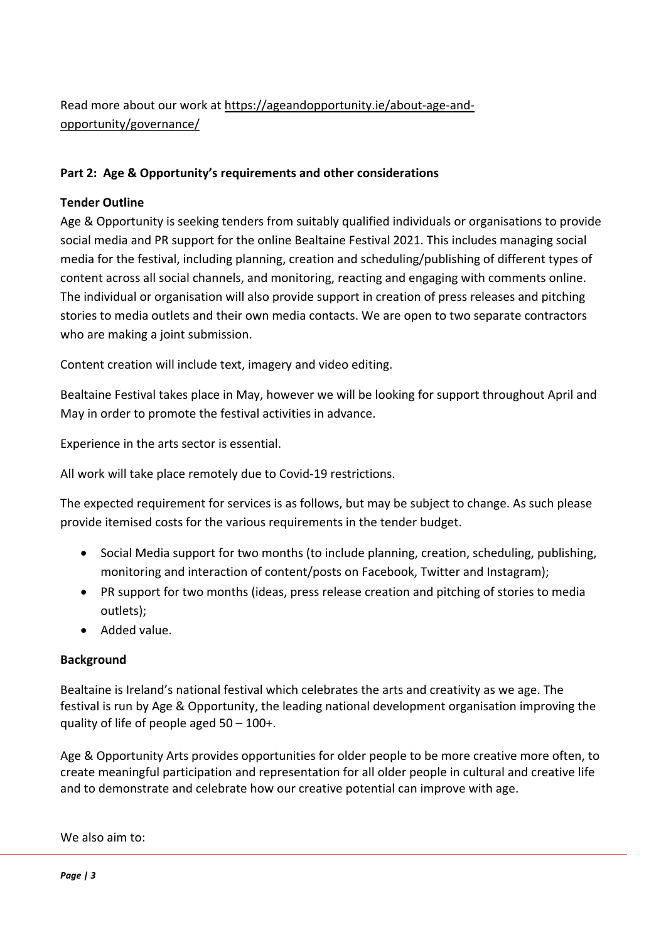# Read more about our work at [https://ageandopportunity.ie/about-age-and](https://ageandopportunity.ie/about-age-and-opportunity/governance/)[opportunity/governance/](https://ageandopportunity.ie/about-age-and-opportunity/governance/)

# **Part 2: Age & Opportunity's requirements and other considerations**

# **Tender Outline**

Age & Opportunity is seeking tenders from suitably qualified individuals or organisations to provide social media and PR support for the online Bealtaine Festival 2021. This includes managing social media for the festival, including planning, creation and scheduling/publishing of different types of content across all social channels, and monitoring, reacting and engaging with comments online. The individual or organisation will also provide support in creation of press releases and pitching stories to media outlets and their own media contacts. We are open to two separate contractors who are making a joint submission.

Content creation will include text, imagery and video editing.

Bealtaine Festival takes place in May, however we will be looking for support throughout April and May in order to promote the festival activities in advance.

Experience in the arts sector is essential.

All work will take place remotely due to Covid-19 restrictions.

The expected requirement for services is as follows, but may be subject to change. As such please provide itemised costs for the various requirements in the tender budget.

- Social Media support for two months (to include planning, creation, scheduling, publishing, monitoring and interaction of content/posts on Facebook, Twitter and Instagram);
- PR support for two months (ideas, press release creation and pitching of stories to media outlets);
- Added value.

# **Background**

Bealtaine is Ireland's national festival which celebrates the arts and creativity as we age. The festival is run by Age & Opportunity, the leading national development organisation improving the quality of life of people aged  $50 - 100 +$ .

Age & Opportunity Arts provides opportunities for older people to be more creative more often, to create meaningful participation and representation for all older people in cultural and creative life and to demonstrate and celebrate how our creative potential can improve with age.

We also aim to: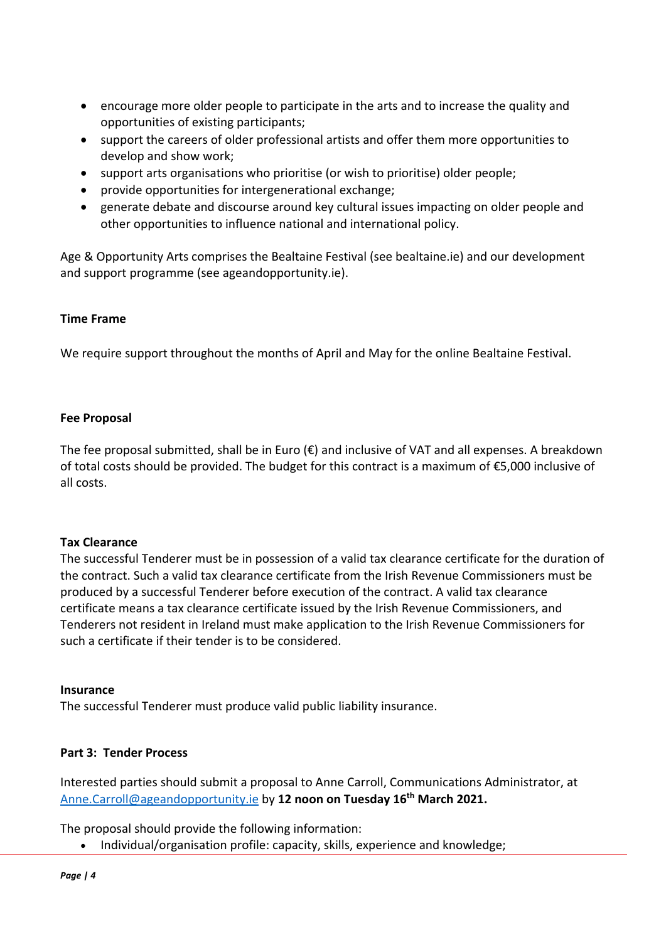- encourage more older people to participate in the arts and to increase the quality and opportunities of existing participants;
- support the careers of older professional artists and offer them more opportunities to develop and show work;
- support arts organisations who prioritise (or wish to prioritise) older people;
- provide opportunities for intergenerational exchange;
- generate debate and discourse around key cultural issues impacting on older people and other opportunities to influence national and international policy.

Age & Opportunity Arts comprises the Bealtaine Festival (see bealtaine.ie) and our development and support programme (see ageandopportunity.ie).

# **Time Frame**

We require support throughout the months of April and May for the online Bealtaine Festival.

#### **Fee Proposal**

The fee proposal submitted, shall be in Euro ( $\epsilon$ ) and inclusive of VAT and all expenses. A breakdown of total costs should be provided. The budget for this contract is a maximum of €5,000 inclusive of all costs.

#### **Tax Clearance**

The successful Tenderer must be in possession of a valid tax clearance certificate for the duration of the contract. Such a valid tax clearance certificate from the Irish Revenue Commissioners must be produced by a successful Tenderer before execution of the contract. A valid tax clearance certificate means a tax clearance certificate issued by the Irish Revenue Commissioners, and Tenderers not resident in Ireland must make application to the Irish Revenue Commissioners for such a certificate if their tender is to be considered.

#### **Insurance**

The successful Tenderer must produce valid public liability insurance.

## **Part 3: Tender Process**

Interested parties should submit a proposal to Anne Carroll, Communications Administrator, at [Anne.Carroll@ageandopportunity.ie](mailto:Anne.Carroll@ageandopportunity.ie) by **12 noon on Tuesday 16th March 2021.**

The proposal should provide the following information:

• Individual/organisation profile: capacity, skills, experience and knowledge;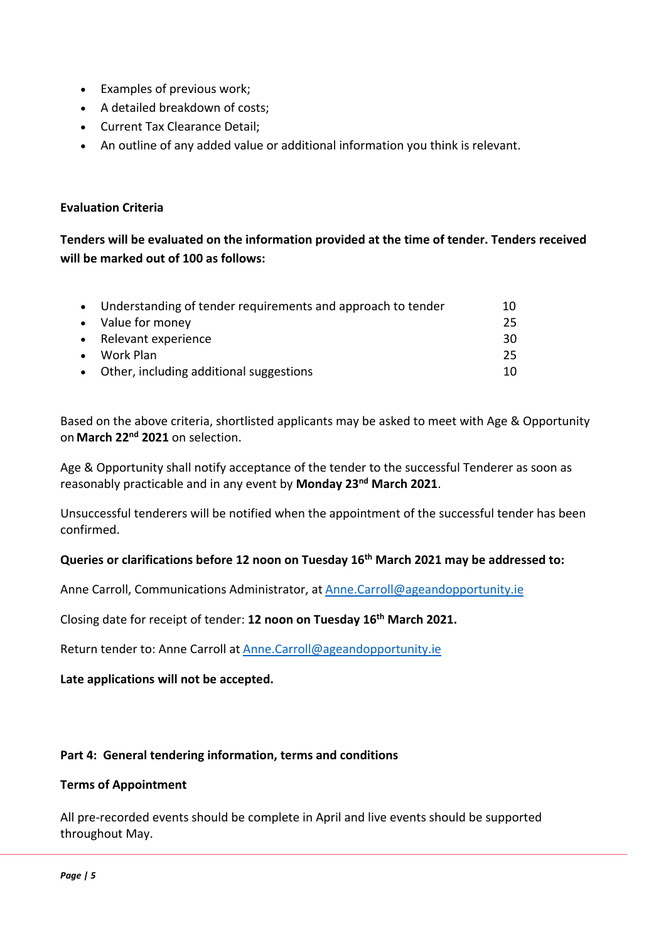- Examples of previous work;
- A detailed breakdown of costs;
- Current Tax Clearance Detail;
- An outline of any added value or additional information you think is relevant.

# **Evaluation Criteria**

**Tenders will be evaluated on the information provided at the time of tender. Tenders received will be marked out of 100 as follows:**

| Understanding of tender requirements and approach to tender | 10 |
|-------------------------------------------------------------|----|
| • Value for money                                           | 25 |
| • Relevant experience                                       | 30 |
| Work Plan                                                   | 25 |
| • Other, including additional suggestions                   | 10 |

Based on the above criteria, shortlisted applicants may be asked to meet with Age & Opportunity on **March 22nd 2021** on selection.

Age & Opportunity shall notify acceptance of the tender to the successful Tenderer as soon as reasonably practicable and in any event by **Monday 23nd March 2021**.

Unsuccessful tenderers will be notified when the appointment of the successful tender has been confirmed.

# **Queries or clarifications before 12 noon on Tuesday 16th March 2021 may be addressed to:**

Anne Carroll, Communications Administrator, at [Anne.Carroll@ageandopportunity.ie](mailto:Anne.Carroll@ageandopportunity.ie)

Closing date for receipt of tender: **12 noon on Tuesday 16th March 2021.**

Return tender to: Anne Carroll at [Anne.Carroll@ageandopportunity.ie](mailto:Anne.Carroll@ageandopportunity.ie)

**Late applications will not be accepted.**

#### **Part 4: General tendering information, terms and conditions**

#### **Terms of Appointment**

All pre-recorded events should be complete in April and live events should be supported throughout May.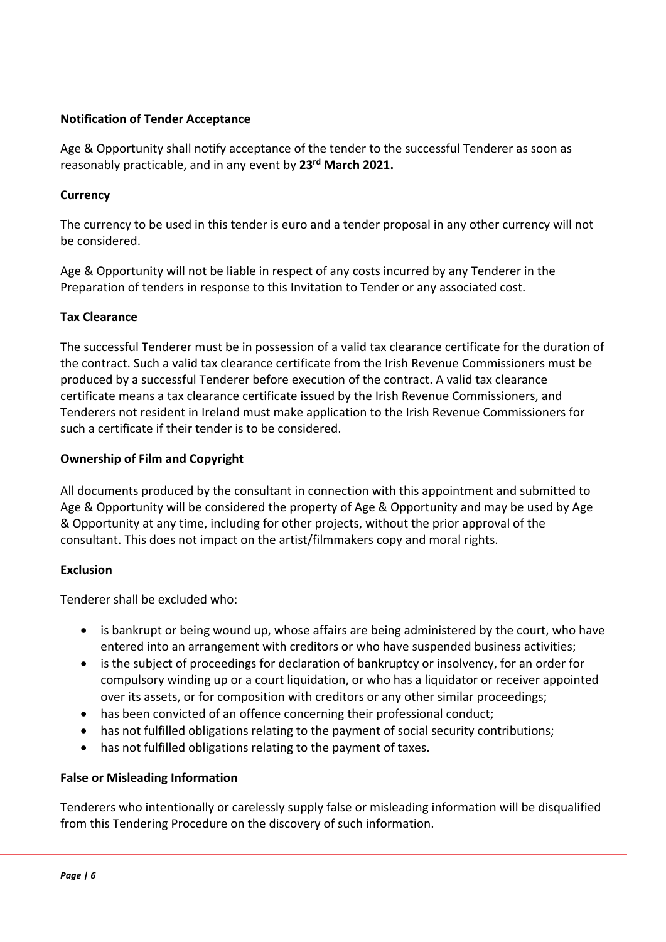# **Notification of Tender Acceptance**

Age & Opportunity shall notify acceptance of the tender to the successful Tenderer as soon as reasonably practicable, and in any event by **23rd March 2021.**

## **Currency**

The currency to be used in this tender is euro and a tender proposal in any other currency will not be considered.

Age & Opportunity will not be liable in respect of any costs incurred by any Tenderer in the Preparation of tenders in response to this Invitation to Tender or any associated cost.

# **Tax Clearance**

The successful Tenderer must be in possession of a valid tax clearance certificate for the duration of the contract. Such a valid tax clearance certificate from the Irish Revenue Commissioners must be produced by a successful Tenderer before execution of the contract. A valid tax clearance certificate means a tax clearance certificate issued by the Irish Revenue Commissioners, and Tenderers not resident in Ireland must make application to the Irish Revenue Commissioners for such a certificate if their tender is to be considered.

# **Ownership of Film and Copyright**

All documents produced by the consultant in connection with this appointment and submitted to Age & Opportunity will be considered the property of Age & Opportunity and may be used by Age & Opportunity at any time, including for other projects, without the prior approval of the consultant. This does not impact on the artist/filmmakers copy and moral rights.

#### **Exclusion**

Tenderer shall be excluded who:

- is bankrupt or being wound up, whose affairs are being administered by the court, who have entered into an arrangement with creditors or who have suspended business activities;
- is the subject of proceedings for declaration of bankruptcy or insolvency, for an order for compulsory winding up or a court liquidation, or who has a liquidator or receiver appointed over its assets, or for composition with creditors or any other similar proceedings;
- has been convicted of an offence concerning their professional conduct;
- has not fulfilled obligations relating to the payment of social security contributions;
- has not fulfilled obligations relating to the payment of taxes.

#### **False or Misleading Information**

Tenderers who intentionally or carelessly supply false or misleading information will be disqualified from this Tendering Procedure on the discovery of such information.